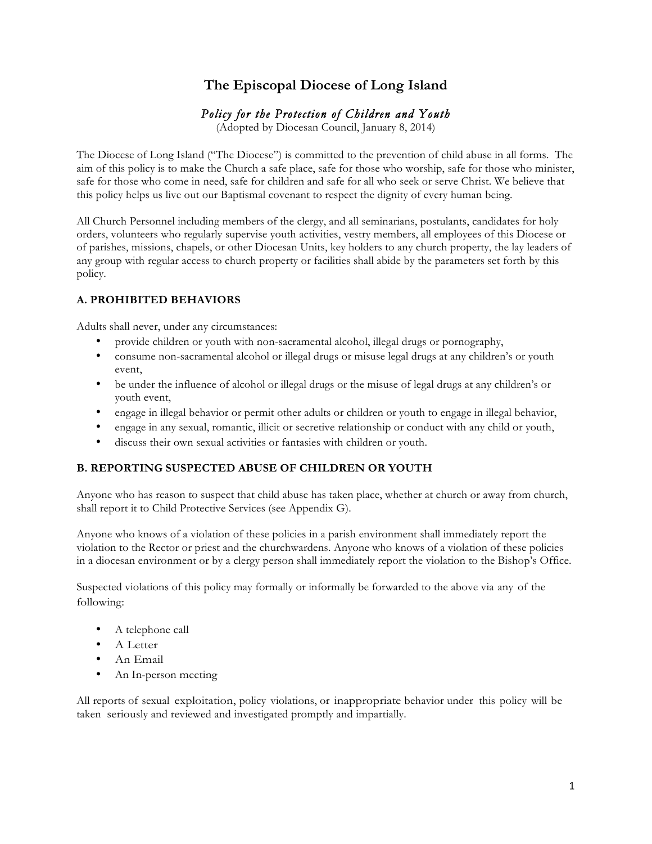# **The Episcopal Diocese of Long Island**

# *Policy for the Protection of Children and Youth*

(Adopted by Diocesan Council, January 8, 2014)

The Diocese of Long Island ("The Diocese") is committed to the prevention of child abuse in all forms. The aim of this policy is to make the Church a safe place, safe for those who worship, safe for those who minister, safe for those who come in need, safe for children and safe for all who seek or serve Christ. We believe that this policy helps us live out our Baptismal covenant to respect the dignity of every human being.

All Church Personnel including members of the clergy, and all seminarians, postulants, candidates for holy orders, volunteers who regularly supervise youth activities, vestry members, all employees of this Diocese or of parishes, missions, chapels, or other Diocesan Units, key holders to any church property, the lay leaders of any group with regular access to church property or facilities shall abide by the parameters set forth by this policy.

# **A. PROHIBITED BEHAVIORS**

Adults shall never, under any circumstances:

- provide children or youth with non-sacramental alcohol, illegal drugs or pornography,
- consume non-sacramental alcohol or illegal drugs or misuse legal drugs at any children's or youth event,
- be under the influence of alcohol or illegal drugs or the misuse of legal drugs at any children's or youth event,
- engage in illegal behavior or permit other adults or children or youth to engage in illegal behavior,
- engage in any sexual, romantic, illicit or secretive relationship or conduct with any child or youth,
- discuss their own sexual activities or fantasies with children or youth.

# **B. REPORTING SUSPECTED ABUSE OF CHILDREN OR YOUTH**

Anyone who has reason to suspect that child abuse has taken place, whether at church or away from church, shall report it to Child Protective Services (see Appendix G).

Anyone who knows of a violation of these policies in a parish environment shall immediately report the violation to the Rector or priest and the churchwardens. Anyone who knows of a violation of these policies in a diocesan environment or by a clergy person shall immediately report the violation to the Bishop's Office.

Suspected violations of this policy may formally or informally be forwarded to the above via any of the following:

- A telephone call
- A Letter
- An Email
- An In-person meeting

All reports of sexual exploitation, policy violations, or inappropriate behavior under this policy will be taken seriously and reviewed and investigated promptly and impartially.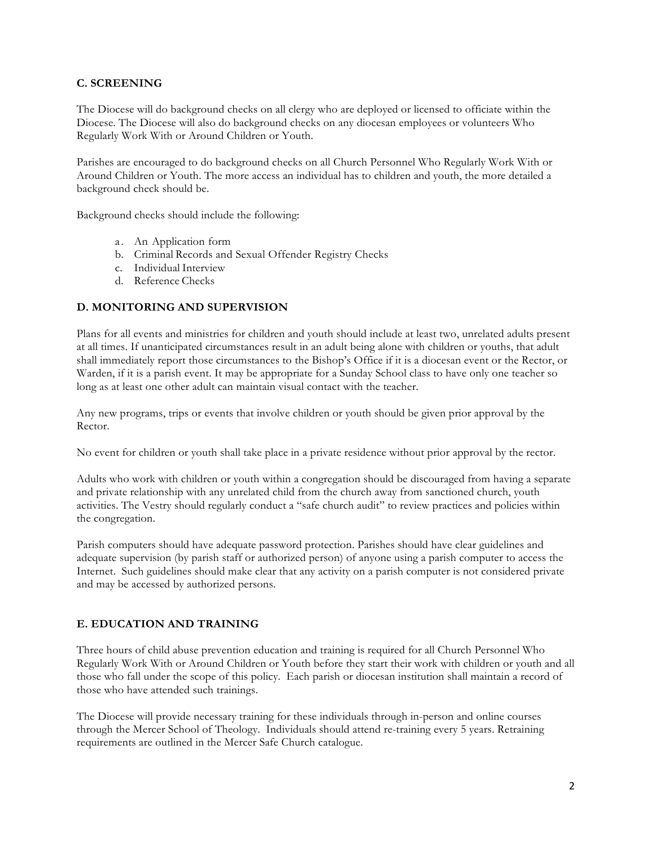### **C. SCREENING**

The Diocese will do background checks on all clergy who are deployed or licensed to officiate within the Diocese. The Diocese will also do background checks on any diocesan employees or volunteers Who Regularly Work With or Around Children or Youth.

Parishes are encouraged to do background checks on all Church Personnel Who Regularly Work With or Around Children or Youth. The more access an individual has to children and youth, the more detailed a background check should be.

Background checks should include the following:

- a. An Application form
- b. Criminal Records and Sexual Offender Registry Checks
- c. Individual Interview
- d. Reference Checks

#### **D. MONITORING AND SUPERVISION**

Plans for all events and ministries for children and youth should include at least two, unrelated adults present at all times. If unanticipated circumstances result in an adult being alone with children or youths, that adult shall immediately report those circumstances to the Bishop's Office if it is a diocesan event or the Rector, or Warden, if it is a parish event. It may be appropriate for a Sunday School class to have only one teacher so long as at least one other adult can maintain visual contact with the teacher.

Any new programs, trips or events that involve children or youth should be given prior approval by the Rector.

No event for children or youth shall take place in a private residence without prior approval by the rector.

Adults who work with children or youth within a congregation should be discouraged from having a separate and private relationship with any unrelated child from the church away from sanctioned church, youth activities. The Vestry should regularly conduct a "safe church audit" to review practices and policies within the congregation.

Parish computers should have adequate password protection. Parishes should have clear guidelines and adequate supervision (by parish staff or authorized person) of anyone using a parish computer to access the Internet. Such guidelines should make clear that any activity on a parish computer is not considered private and may be accessed by authorized persons.

#### **E. EDUCATION AND TRAINING**

Three hours of child abuse prevention education and training is required for all Church Personnel Who Regularly Work With or Around Children or Youth before they start their work with children or youth and all those who fall under the scope of this policy. Each parish or diocesan institution shall maintain a record of those who have attended such trainings.

The Diocese will provide necessary training for these individuals through in-person and online courses through the Mercer School of Theology. Individuals should attend re-training every 5 years. Retraining requirements are outlined in the Mercer Safe Church catalogue.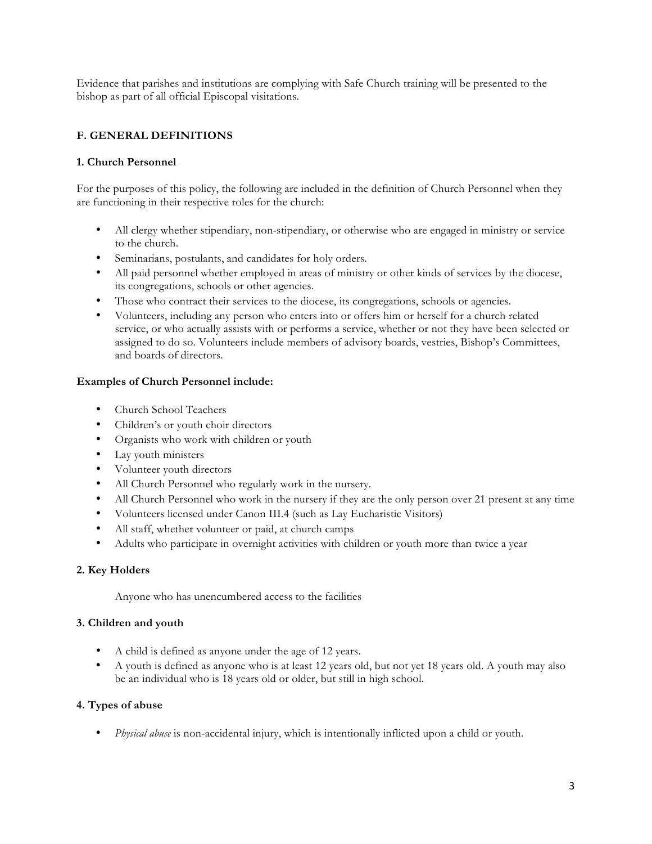Evidence that parishes and institutions are complying with Safe Church training will be presented to the bishop as part of all official Episcopal visitations.

# **F. GENERAL DEFINITIONS**

#### **1. Church Personnel**

For the purposes of this policy, the following are included in the definition of Church Personnel when they are functioning in their respective roles for the church:

- All clergy whether stipendiary, non-stipendiary, or otherwise who are engaged in ministry or service to the church.
- Seminarians, postulants, and candidates for holy orders.
- All paid personnel whether employed in areas of ministry or other kinds of services by the diocese, its congregations, schools or other agencies.
- Those who contract their services to the diocese, its congregations, schools or agencies.
- Volunteers, including any person who enters into or offers him or herself for a church related service, or who actually assists with or performs a service, whether or not they have been selected or assigned to do so. Volunteers include members of advisory boards, vestries, Bishop's Committees, and boards of directors.

#### **Examples of Church Personnel include:**

- Church School Teachers
- Children's or youth choir directors
- Organists who work with children or youth
- Lay youth ministers
- Volunteer youth directors
- All Church Personnel who regularly work in the nursery.
- All Church Personnel who work in the nursery if they are the only person over 21 present at any time
- Volunteers licensed under Canon III.4 (such as Lay Eucharistic Visitors)
- All staff, whether volunteer or paid, at church camps
- Adults who participate in overnight activities with children or youth more than twice a year

#### **2. Key Holders**

Anyone who has unencumbered access to the facilities

#### **3. Children and youth**

- A child is defined as anyone under the age of 12 years.
- A youth is defined as anyone who is at least 12 years old, but not yet 18 years old. A youth may also be an individual who is 18 years old or older, but still in high school.

#### **4. Types of abuse**

• *Physical abuse* is non-accidental injury, which is intentionally inflicted upon a child or youth.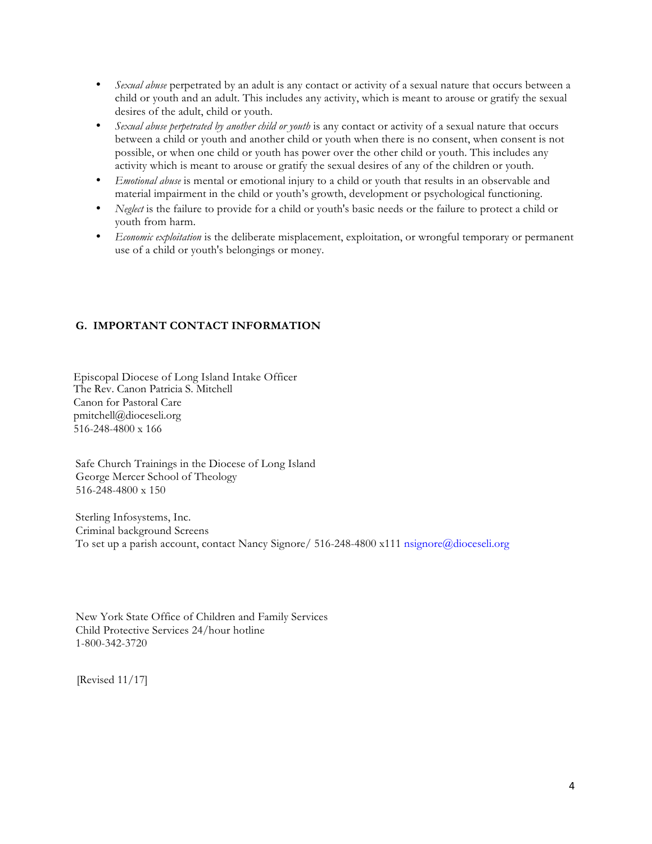- *Sexual abuse* perpetrated by an adult is any contact or activity of a sexual nature that occurs between a child or youth and an adult. This includes any activity, which is meant to arouse or gratify the sexual desires of the adult, child or youth.
- *Sexual abuse perpetrated by another child or youth* is any contact or activity of a sexual nature that occurs between a child or youth and another child or youth when there is no consent, when consent is not possible, or when one child or youth has power over the other child or youth. This includes any activity which is meant to arouse or gratify the sexual desires of any of the children or youth.
- *Emotional abuse* is mental or emotional injury to a child or youth that results in an observable and material impairment in the child or youth's growth, development or psychological functioning.
- *Neglect* is the failure to provide for a child or youth's basic needs or the failure to protect a child or youth from harm.
- *Economic exploitation* is the deliberate misplacement, exploitation, or wrongful temporary or permanent use of a child or youth's belongings or money.

# **G. IMPORTANT CONTACT INFORMATION**

Episcopal Diocese of Long Island Intake Officer The Rev. Canon Patricia S. Mitchell Canon for Pastoral Care pmitchell@dioceseli.org 516-248-4800 x 166

Safe Church Trainings in the Diocese of Long Island George Mercer School of Theology 516-248-4800 x 150

Sterling Infosystems, Inc. Criminal background Screens To set up a parish account, contact Nancy Signore/ 516-248-4800 x111 nsignore@dioceseli.org

New York State Office of Children and Family Services Child Protective Services 24/hour hotline 1-800-342-3720

[Revised 11/17]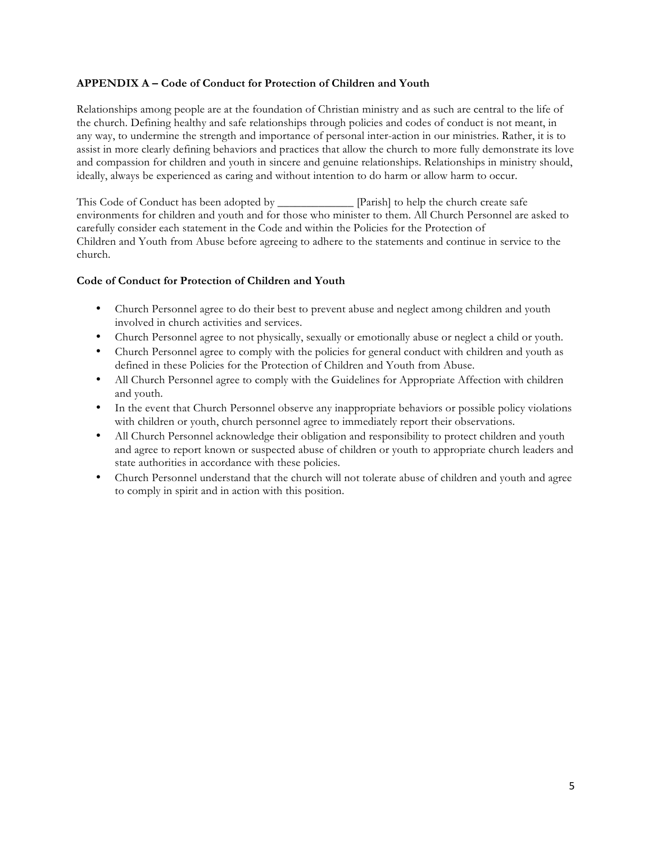#### **APPENDIX A – Code of Conduct for Protection of Children and Youth**

Relationships among people are at the foundation of Christian ministry and as such are central to the life of the church. Defining healthy and safe relationships through policies and codes of conduct is not meant, in any way, to undermine the strength and importance of personal inter-action in our ministries. Rather, it is to assist in more clearly defining behaviors and practices that allow the church to more fully demonstrate its love and compassion for children and youth in sincere and genuine relationships. Relationships in ministry should, ideally, always be experienced as caring and without intention to do harm or allow harm to occur.

This Code of Conduct has been adopted by **Example 19** [Parish] to help the church create safe environments for children and youth and for those who minister to them. All Church Personnel are asked to carefully consider each statement in the Code and within the Policies for the Protection of Children and Youth from Abuse before agreeing to adhere to the statements and continue in service to the church.

#### **Code of Conduct for Protection of Children and Youth**

- Church Personnel agree to do their best to prevent abuse and neglect among children and youth involved in church activities and services.
- Church Personnel agree to not physically, sexually or emotionally abuse or neglect a child or youth.
- Church Personnel agree to comply with the policies for general conduct with children and youth as defined in these Policies for the Protection of Children and Youth from Abuse.
- All Church Personnel agree to comply with the Guidelines for Appropriate Affection with children and youth.
- In the event that Church Personnel observe any inappropriate behaviors or possible policy violations with children or youth, church personnel agree to immediately report their observations.
- All Church Personnel acknowledge their obligation and responsibility to protect children and youth and agree to report known or suspected abuse of children or youth to appropriate church leaders and state authorities in accordance with these policies.
- Church Personnel understand that the church will not tolerate abuse of children and youth and agree to comply in spirit and in action with this position.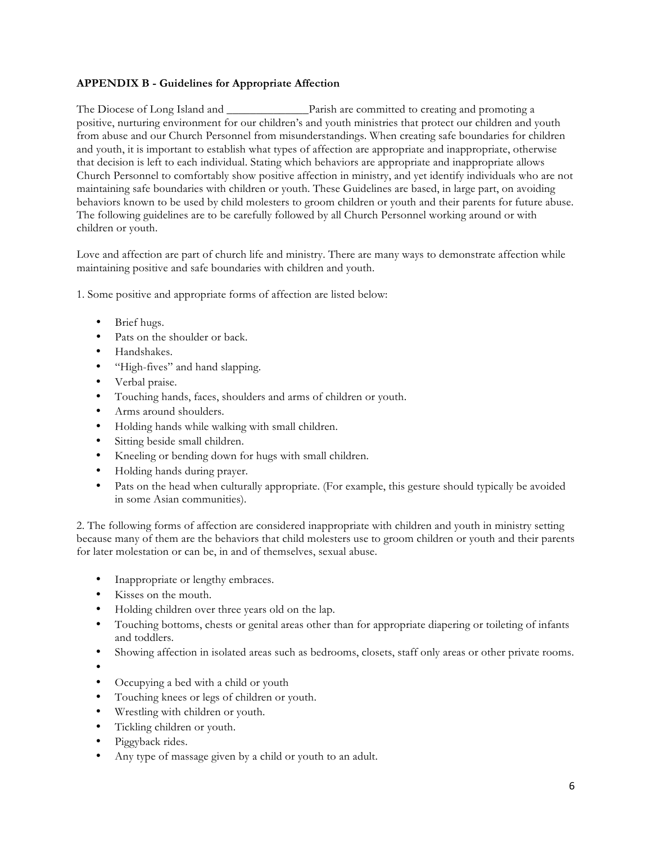# **APPENDIX B - Guidelines for Appropriate Affection**

The Diocese of Long Island and **Example 2** Parish are committed to creating and promoting a positive, nurturing environment for our children's and youth ministries that protect our children and youth from abuse and our Church Personnel from misunderstandings. When creating safe boundaries for children and youth, it is important to establish what types of affection are appropriate and inappropriate, otherwise that decision is left to each individual. Stating which behaviors are appropriate and inappropriate allows Church Personnel to comfortably show positive affection in ministry, and yet identify individuals who are not maintaining safe boundaries with children or youth. These Guidelines are based, in large part, on avoiding behaviors known to be used by child molesters to groom children or youth and their parents for future abuse. The following guidelines are to be carefully followed by all Church Personnel working around or with children or youth.

Love and affection are part of church life and ministry. There are many ways to demonstrate affection while maintaining positive and safe boundaries with children and youth.

1. Some positive and appropriate forms of affection are listed below:

- Brief hugs.
- Pats on the shoulder or back.
- Handshakes.
- "High-fives" and hand slapping.
- Verbal praise.
- Touching hands, faces, shoulders and arms of children or youth.
- Arms around shoulders.
- Holding hands while walking with small children.
- Sitting beside small children.
- Kneeling or bending down for hugs with small children.
- Holding hands during prayer.
- Pats on the head when culturally appropriate. (For example, this gesture should typically be avoided in some Asian communities).

2. The following forms of affection are considered inappropriate with children and youth in ministry setting because many of them are the behaviors that child molesters use to groom children or youth and their parents for later molestation or can be, in and of themselves, sexual abuse.

- Inappropriate or lengthy embraces.
- Kisses on the mouth.
- Holding children over three years old on the lap.
- Touching bottoms, chests or genital areas other than for appropriate diapering or toileting of infants and toddlers.
- Showing affection in isolated areas such as bedrooms, closets, staff only areas or other private rooms.
- •
- Occupying a bed with a child or youth
- Touching knees or legs of children or youth.
- Wrestling with children or youth.
- Tickling children or youth.
- Piggyback rides.
- Any type of massage given by a child or youth to an adult.